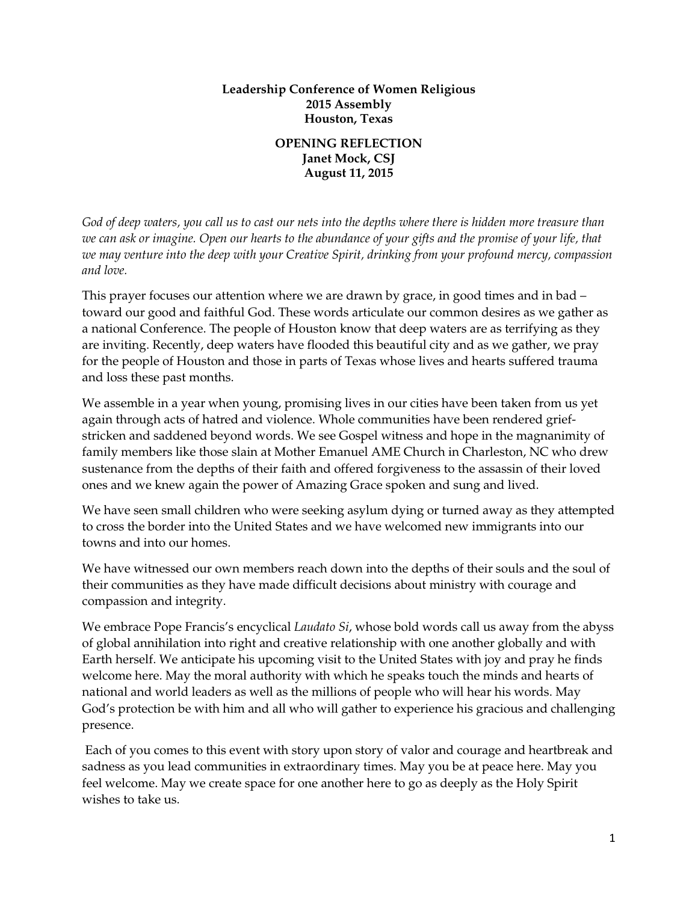## **Leadership Conference of Women Religious 2015 Assembly Houston, Texas**

## **OPENING REFLECTION Janet Mock, CSJ August 11, 2015**

*God of deep waters, you call us to cast our nets into the depths where there is hidden more treasure than we can ask or imagine. Open our hearts to the abundance of your gifts and the promise of your life, that we may venture into the deep with your Creative Spirit, drinking from your profound mercy, compassion and love.*

This prayer focuses our attention where we are drawn by grace, in good times and in bad – toward our good and faithful God. These words articulate our common desires as we gather as a national Conference. The people of Houston know that deep waters are as terrifying as they are inviting. Recently, deep waters have flooded this beautiful city and as we gather, we pray for the people of Houston and those in parts of Texas whose lives and hearts suffered trauma and loss these past months.

We assemble in a year when young, promising lives in our cities have been taken from us yet again through acts of hatred and violence. Whole communities have been rendered griefstricken and saddened beyond words. We see Gospel witness and hope in the magnanimity of family members like those slain at Mother Emanuel AME Church in Charleston, NC who drew sustenance from the depths of their faith and offered forgiveness to the assassin of their loved ones and we knew again the power of Amazing Grace spoken and sung and lived.

We have seen small children who were seeking asylum dying or turned away as they attempted to cross the border into the United States and we have welcomed new immigrants into our towns and into our homes.

We have witnessed our own members reach down into the depths of their souls and the soul of their communities as they have made difficult decisions about ministry with courage and compassion and integrity.

We embrace Pope Francis's encyclical *Laudato Si*, whose bold words call us away from the abyss of global annihilation into right and creative relationship with one another globally and with Earth herself. We anticipate his upcoming visit to the United States with joy and pray he finds welcome here. May the moral authority with which he speaks touch the minds and hearts of national and world leaders as well as the millions of people who will hear his words. May God's protection be with him and all who will gather to experience his gracious and challenging presence.

Each of you comes to this event with story upon story of valor and courage and heartbreak and sadness as you lead communities in extraordinary times. May you be at peace here. May you feel welcome. May we create space for one another here to go as deeply as the Holy Spirit wishes to take us.